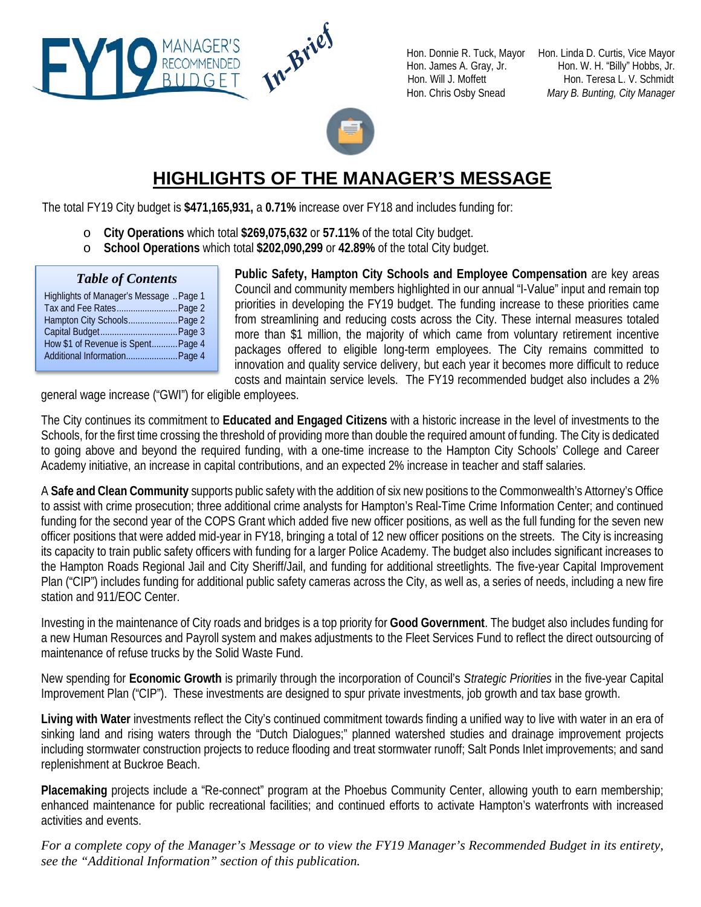

Hon. Donnie R. Tuck, Mayor Hon. Linda D. Curtis, Vice Mayor Hon. James A. Gray, Jr. Hon. W. H. "Billy" Hobbs, Jr. Hon. Will J. Moffett Hon. Teresa L. V. Schmidt Hon. Chris Osby Snead *Mary B. Bunting, City Manager*



## **HIGHLIGHTS OF THE MANAGER'S MESSAGE**

The total FY19 City budget is **\$471,165,931,** a **0.71%** increase over FY18 and includes funding for:

- o **City Operations** which total **\$269,075,632** or **57.11%** of the total City budget.
- o **School Operations** which total **\$202,090,299** or **42.89%** of the total City budget.

#### *Table of Contents*

| Highlights of Manager's Message  Page 1 |  |
|-----------------------------------------|--|
| Tax and Fee Rates Page 2                |  |
| Hampton City Schools Page 2             |  |
|                                         |  |
| How \$1 of Revenue is Spent Page 4      |  |
| Additional Information Page 4           |  |
|                                         |  |

**Public Safety, Hampton City Schools and Employee Compensation** are key areas Council and community members highlighted in our annual "I-Value" input and remain top priorities in developing the FY19 budget. The funding increase to these priorities came from streamlining and reducing costs across the City. These internal measures totaled more than \$1 million, the majority of which came from voluntary retirement incentive packages offered to eligible long-term employees. The City remains committed to innovation and quality service delivery, but each year it becomes more difficult to reduce costs and maintain service levels. The FY19 recommended budget also includes a 2%

general wage increase ("GWI") for eligible employees.

MANAGER'S<br>RECOMMENDED<br>BUDGET

The City continues its commitment to **Educated and Engaged Citizens** with a historic increase in the level of investments to the Schools, for the first time crossing the threshold of providing more than double the required amount of funding. The City is dedicated to going above and beyond the required funding, with a one-time increase to the Hampton City Schools' College and Career Academy initiative, an increase in capital contributions, and an expected 2% increase in teacher and staff salaries.

A **Safe and Clean Community** supports public safety with the addition of six new positions to the Commonwealth's Attorney's Office to assist with crime prosecution; three additional crime analysts for Hampton's Real-Time Crime Information Center; and continued funding for the second year of the COPS Grant which added five new officer positions, as well as the full funding for the seven new officer positions that were added mid-year in FY18, bringing a total of 12 new officer positions on the streets. The City is increasing its capacity to train public safety officers with funding for a larger Police Academy. The budget also includes significant increases to the Hampton Roads Regional Jail and City Sheriff/Jail, and funding for additional streetlights. The five-year Capital Improvement Plan ("CIP") includes funding for additional public safety cameras across the City, as well as, a series of needs, including a new fire station and 911/EOC Center.

Investing in the maintenance of City roads and bridges is a top priority for **Good Government**. The budget also includes funding for a new Human Resources and Payroll system and makes adjustments to the Fleet Services Fund to reflect the direct outsourcing of maintenance of refuse trucks by the Solid Waste Fund.

New spending for **Economic Growth** is primarily through the incorporation of Council's *Strategic Priorities* in the five-year Capital Improvement Plan ("CIP"). These investments are designed to spur private investments, job growth and tax base growth.

**Living with Water** investments reflect the City's continued commitment towards finding a unified way to live with water in an era of sinking land and rising waters through the "Dutch Dialogues;" planned watershed studies and drainage improvement projects including stormwater construction projects to reduce flooding and treat stormwater runoff; Salt Ponds Inlet improvements; and sand replenishment at Buckroe Beach.

**Placemaking** projects include a "Re-connect" program at the Phoebus Community Center, allowing youth to earn membership; enhanced maintenance for public recreational facilities; and continued efforts to activate Hampton's waterfronts with increased activities and events.

*For a complete copy of the Manager's Message or to view the FY19 Manager's Recommended Budget in its entirety, see the "Additional Information" section of this publication.*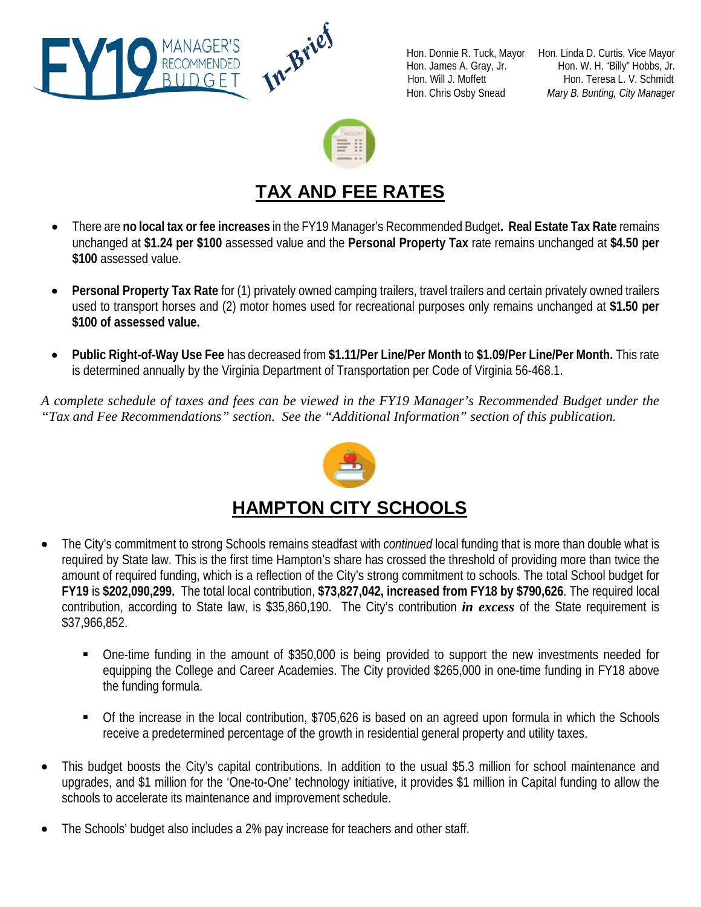



Hon. Donnie R. Tuck, Mayor Hon. Linda D. Curtis, Vice Mayor Hon. James A. Gray, Jr. Hon. W. H. "Billy" Hobbs, Jr. Hon. Will J. Moffett Hon. Teresa L. V. Schmidt Hon. Chris Osby Snead *Mary B. Bunting, City Manager*



# **TAX AND FEE RATES**

- There are **no local tax or fee increases** in the FY19 Manager's Recommended Budget**. Real Estate Tax Rate** remains unchanged at **\$1.24 per \$100** assessed value and the **Personal Property Tax** rate remains unchanged at **\$4.50 per \$100** assessed value.
- **Personal Property Tax Rate** for (1) privately owned camping trailers, travel trailers and certain privately owned trailers used to transport horses and (2) motor homes used for recreational purposes only remains unchanged at **\$1.50 per \$100 of assessed value.**
- **Public Right-of-Way Use Fee** has decreased from **\$1.11/Per Line/Per Month** to **\$1.09/Per Line/Per Month.** This rate is determined annually by the Virginia Department of Transportation per Code of Virginia 56-468.1.

*A complete schedule of taxes and fees can be viewed in the FY19 Manager's Recommended Budget under the "Tax and Fee Recommendations" section. See the "Additional Information" section of this publication.*



### **HAMPTON CITY SCHOOLS**

- The City's commitment to strong Schools remains steadfast with *continued* local funding that is more than double what is required by State law. This is the first time Hampton's share has crossed the threshold of providing more than twice the amount of required funding, which is a reflection of the City's strong commitment to schools. The total School budget for **FY19** is **\$202,090,299.** The total local contribution, **\$73,827,042, increased from FY18 by \$790,626**. The required local contribution, according to State law, is \$35,860,190. The City's contribution *in excess* of the State requirement is \$37,966,852.
	- One-time funding in the amount of \$350,000 is being provided to support the new investments needed for equipping the College and Career Academies. The City provided \$265,000 in one-time funding in FY18 above the funding formula.
	- Of the increase in the local contribution, \$705,626 is based on an agreed upon formula in which the Schools receive a predetermined percentage of the growth in residential general property and utility taxes.
- This budget boosts the City's capital contributions. In addition to the usual \$5.3 million for school maintenance and upgrades, and \$1 million for the 'One-to-One' technology initiative, it provides \$1 million in Capital funding to allow the schools to accelerate its maintenance and improvement schedule.
- The Schools' budget also includes a 2% pay increase for teachers and other staff.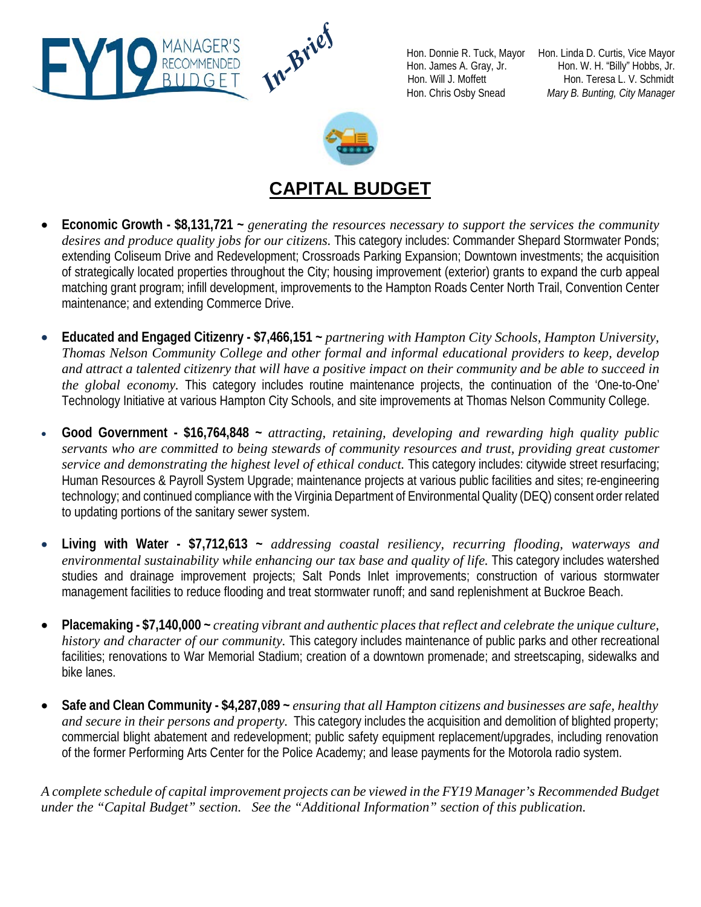

RECOM

Hon. Donnie R. Tuck, Mayor Hon. Linda D. Curtis, Vice Mayor Hon. James A. Gray, Jr. Hon. W. H. "Billy" Hobbs, Jr. Hon. Will J. Moffett Hon. Teresa L. V. Schmidt Hon. Chris Osby Snead *Mary B. Bunting, City Manager*



# **CAPITAL BUDGET**

- **Economic Growth - \$8,131,721 ~** *generating the resources necessary to support the services the community desires and produce quality jobs for our citizens.* This category includes: Commander Shepard Stormwater Ponds; extending Coliseum Drive and Redevelopment; Crossroads Parking Expansion; Downtown investments; the acquisition of strategically located properties throughout the City; housing improvement (exterior) grants to expand the curb appeal matching grant program; infill development, improvements to the Hampton Roads Center North Trail, Convention Center maintenance; and extending Commerce Drive.
- **Educated and Engaged Citizenry - \$7,466,151 ~** *partnering with Hampton City Schools, Hampton University, Thomas Nelson Community College and other formal and informal educational providers to keep, develop and attract a talented citizenry that will have a positive impact on their community and be able to succeed in the global economy.* This category includes routine maintenance projects, the continuation of the 'One-to-One' Technology Initiative at various Hampton City Schools, and site improvements at Thomas Nelson Community College.
- **Good Government - \$16,764,848 ~** *attracting, retaining, developing and rewarding high quality public servants who are committed to being stewards of community resources and trust, providing great customer service and demonstrating the highest level of ethical conduct.* This category includes: citywide street resurfacing; Human Resources & Payroll System Upgrade; maintenance projects at various public facilities and sites; re-engineering technology; and continued compliance with the Virginia Department of Environmental Quality (DEQ) consent order related to updating portions of the sanitary sewer system.
- **Living with Water - \$7,712,613 ~** *addressing coastal resiliency, recurring flooding, waterways and*  environmental sustainability while enhancing our tax base and quality of life. This category includes watershed studies and drainage improvement projects; Salt Ponds Inlet improvements; construction of various stormwater management facilities to reduce flooding and treat stormwater runoff; and sand replenishment at Buckroe Beach.
- **Placemaking - \$7,140,000 ~** *creating vibrant and authentic places that reflect and celebrate the unique culture, history and character of our community.* This category includes maintenance of public parks and other recreational facilities; renovations to War Memorial Stadium; creation of a downtown promenade; and streetscaping, sidewalks and bike lanes.
- **Safe and Clean Community - \$4,287,089 ~** *ensuring that all Hampton citizens and businesses are safe, healthy and secure in their persons and property.* This category includes the acquisition and demolition of blighted property; commercial blight abatement and redevelopment; public safety equipment replacement/upgrades, including renovation of the former Performing Arts Center for the Police Academy; and lease payments for the Motorola radio system.

*A complete schedule of capital improvement projects can be viewed in the FY19 Manager's Recommended Budget under the "Capital Budget" section. See the "Additional Information" section of this publication.*